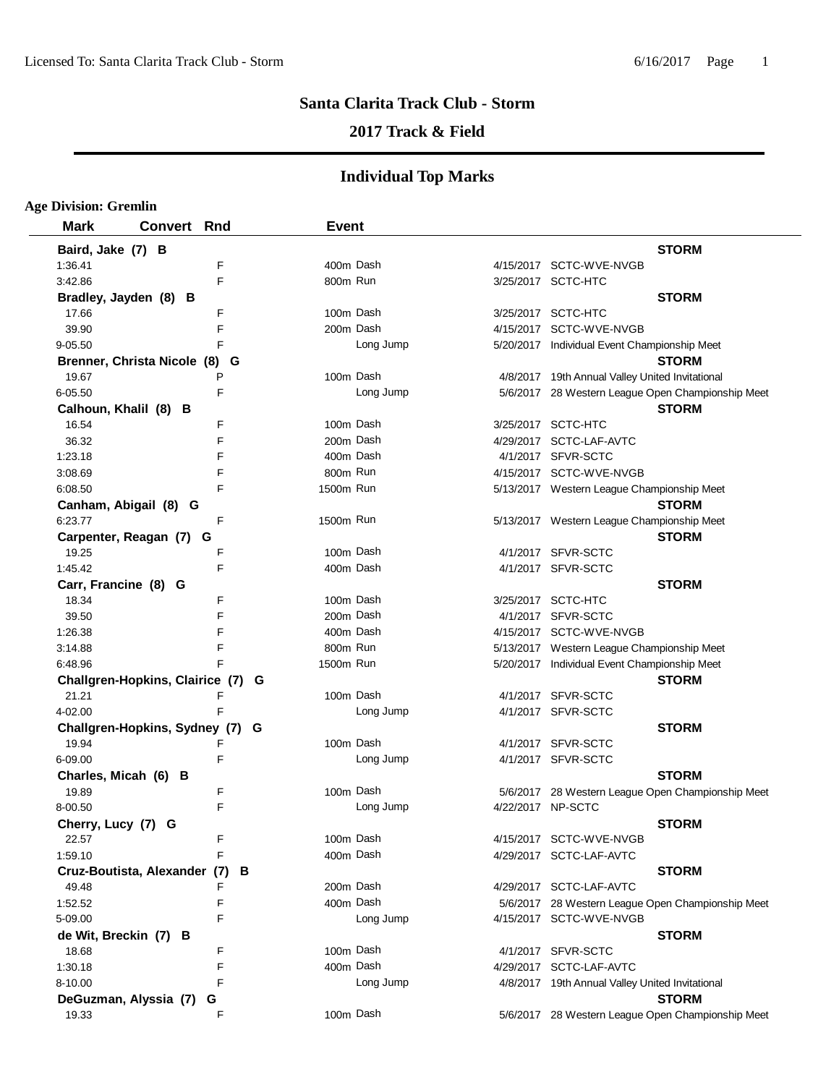# **2017 Track & Field**

| <b>Age Division: Gremlin</b>      |                    |   |              |           |                                                   |
|-----------------------------------|--------------------|---|--------------|-----------|---------------------------------------------------|
| <b>Mark</b>                       | <b>Convert Rnd</b> |   | <b>Event</b> |           |                                                   |
| Baird, Jake (7) B                 |                    |   |              |           | <b>STORM</b>                                      |
| 1:36.41                           |                    | F |              | 400m Dash | 4/15/2017 SCTC-WVE-NVGB                           |
| 3:42.86                           |                    | E | 800m Run     |           | 3/25/2017 SCTC-HTC                                |
| Bradley, Jayden (8) B             |                    |   |              |           | <b>STORM</b>                                      |
| 17.66                             |                    | F |              | 100m Dash | 3/25/2017 SCTC-HTC                                |
| 39.90                             |                    | F |              | 200m Dash | 4/15/2017 SCTC-WVE-NVGB                           |
| 9-05.50                           |                    | E |              | Long Jump | 5/20/2017 Individual Event Championship Meet      |
| Brenner, Christa Nicole (8) G     |                    |   |              |           | <b>STORM</b>                                      |
| 19.67                             |                    | P |              | 100m Dash | 4/8/2017 19th Annual Valley United Invitational   |
| 6-05.50                           |                    | F |              | Long Jump | 5/6/2017 28 Western League Open Championship Meet |
| Calhoun, Khalil (8) B             |                    |   |              |           | <b>STORM</b>                                      |
| 16.54                             |                    | F |              | 100m Dash | 3/25/2017 SCTC-HTC                                |
| 36.32                             |                    | F |              | 200m Dash | 4/29/2017 SCTC-LAF-AVTC                           |
| 1:23.18                           |                    | F |              | 400m Dash | 4/1/2017 SFVR-SCTC                                |
| 3:08.69                           |                    | F | 800m Run     |           | 4/15/2017 SCTC-WVE-NVGB                           |
| 6:08.50                           |                    | F | 1500m Run    |           | 5/13/2017 Western League Championship Meet        |
| Canham, Abigail (8) G             |                    |   |              |           | <b>STORM</b>                                      |
| 6:23.77                           |                    | F | 1500m Run    |           | 5/13/2017 Western League Championship Meet        |
| Carpenter, Reagan (7)             |                    | G |              |           | <b>STORM</b>                                      |
| 19.25                             |                    | F |              | 100m Dash | 4/1/2017 SFVR-SCTC                                |
| 1:45.42                           |                    | F |              | 400m Dash | 4/1/2017 SFVR-SCTC                                |
| Carr, Francine (8) G              |                    |   |              |           | <b>STORM</b>                                      |
| 18.34                             |                    | F |              | 100m Dash | 3/25/2017 SCTC-HTC                                |
| 39.50                             |                    | F |              | 200m Dash | 4/1/2017 SFVR-SCTC                                |
| 1:26.38                           |                    | F |              | 400m Dash | 4/15/2017 SCTC-WVE-NVGB                           |
| 3:14.88                           |                    | F | 800m Run     |           | 5/13/2017 Western League Championship Meet        |
| 6:48.96                           |                    | F | 1500m Run    |           | 5/20/2017 Individual Event Championship Meet      |
| Challgren-Hopkins, Clairice (7) G |                    |   |              |           | <b>STORM</b>                                      |
| 21.21                             |                    | F |              | 100m Dash | 4/1/2017 SFVR-SCTC                                |
| 4-02.00                           |                    | F |              | Long Jump | 4/1/2017 SFVR-SCTC                                |
| Challgren-Hopkins, Sydney (7) G   |                    |   |              |           | <b>STORM</b>                                      |
| 19.94                             |                    |   |              | 100m Dash | 4/1/2017 SFVR-SCTC                                |
| 6-09.00                           |                    | F |              | Long Jump | 4/1/2017 SFVR-SCTC                                |
| Charles, Micah (6) B              |                    |   |              |           | <b>STORM</b>                                      |
| 19.89                             |                    | F |              | 100m Dash | 5/6/2017 28 Western League Open Championship Meet |
| 8-00.50                           |                    | E |              | Long Jump | 4/22/2017 NP-SCTC                                 |
| Cherry, Lucy (7) G                |                    |   |              |           | <b>STORM</b>                                      |
| 22.57                             |                    | F |              | 100m Dash | 4/15/2017 SCTC-WVE-NVGB                           |
| 1:59.10                           |                    | E |              | 400m Dash | 4/29/2017 SCTC-LAF-AVTC                           |
| Cruz-Boutista, Alexander (7)      |                    | В |              |           | <b>STORM</b>                                      |
| 49.48                             |                    | F |              | 200m Dash | 4/29/2017 SCTC-LAF-AVTC                           |
| 1:52.52                           |                    | E |              | 400m Dash | 5/6/2017 28 Western League Open Championship Meet |
| 5-09.00                           |                    | F |              | Long Jump | 4/15/2017 SCTC-WVE-NVGB                           |
| de Wit, Breckin (7) B             |                    |   |              |           | <b>STORM</b>                                      |
| 18.68                             |                    | F |              | 100m Dash | 4/1/2017 SFVR-SCTC                                |
| 1:30.18                           |                    | F |              | 400m Dash | 4/29/2017 SCTC-LAF-AVTC                           |
| 8-10.00                           |                    | F |              | Long Jump | 4/8/2017 19th Annual Valley United Invitational   |
| DeGuzman, Alyssia (7)             |                    | G |              |           | <b>STORM</b>                                      |
| 19.33                             |                    | F |              | 100m Dash | 5/6/2017 28 Western League Open Championship Meet |
|                                   |                    |   |              |           |                                                   |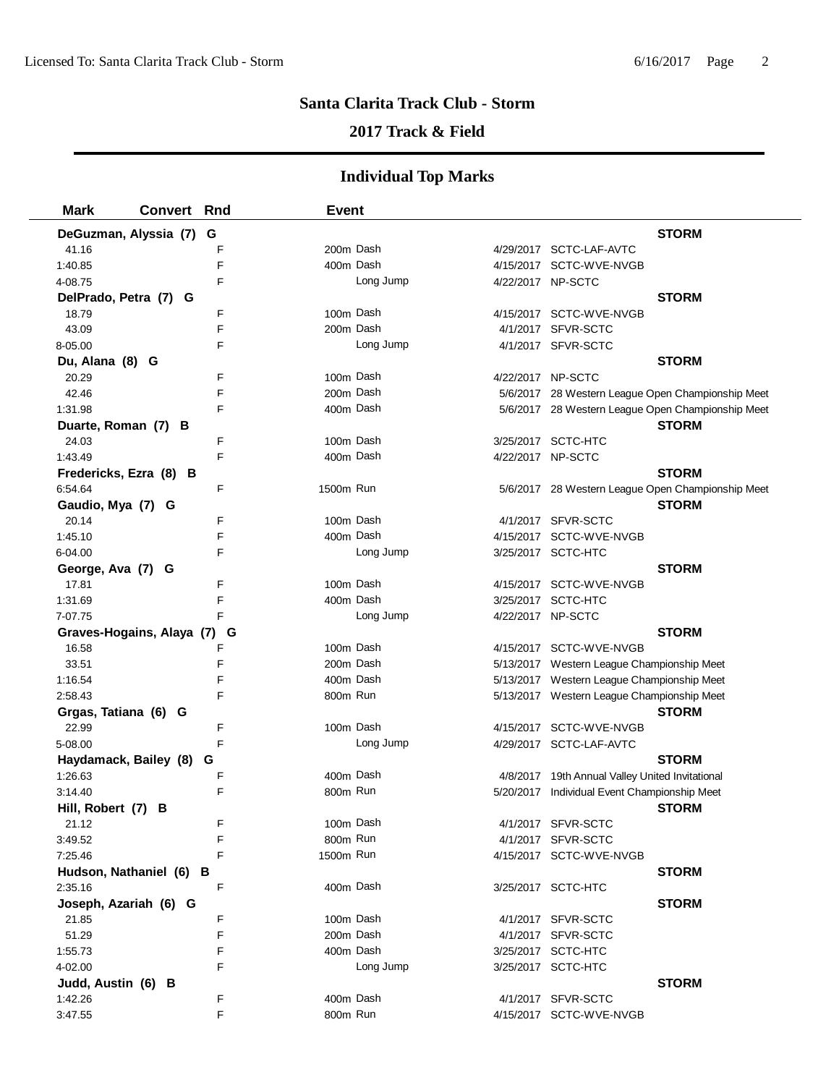## **2017 Track & Field**

| <b>Mark</b>             | <b>Convert Rnd</b>        |   | <b>Event</b> |           |                   |                                                   |
|-------------------------|---------------------------|---|--------------|-----------|-------------------|---------------------------------------------------|
| DeGuzman, Alyssia (7)   | G                         |   |              |           |                   | <b>STORM</b>                                      |
| 41.16                   |                           | F |              | 200m Dash |                   | 4/29/2017 SCTC-LAF-AVTC                           |
| 1:40.85                 |                           | F |              | 400m Dash |                   | 4/15/2017 SCTC-WVE-NVGB                           |
| 4-08.75                 |                           | F |              | Long Jump | 4/22/2017 NP-SCTC |                                                   |
| DelPrado, Petra (7) G   |                           |   |              |           |                   | <b>STORM</b>                                      |
| 18.79                   |                           | F |              | 100m Dash |                   | 4/15/2017 SCTC-WVE-NVGB                           |
| 43.09                   |                           | F | 200m Dash    |           |                   | 4/1/2017 SFVR-SCTC                                |
| 8-05.00                 |                           | F |              | Long Jump |                   | 4/1/2017 SFVR-SCTC                                |
| Du, Alana (8) G         |                           |   |              |           |                   | <b>STORM</b>                                      |
| 20.29                   |                           | F |              | 100m Dash | 4/22/2017 NP-SCTC |                                                   |
| 42.46                   |                           | F |              | 200m Dash |                   | 5/6/2017 28 Western League Open Championship Meet |
| 1:31.98                 |                           | F |              | 400m Dash |                   | 5/6/2017 28 Western League Open Championship Meet |
| Duarte, Roman (7) B     |                           |   |              |           |                   | <b>STORM</b>                                      |
| 24.03                   |                           | F |              | 100m Dash |                   | 3/25/2017 SCTC-HTC                                |
| 1:43.49                 |                           | F |              | 400m Dash | 4/22/2017 NP-SCTC |                                                   |
| Fredericks, Ezra (8) B  |                           |   |              |           |                   | <b>STORM</b>                                      |
| 6:54.64                 |                           | F | 1500m Run    |           |                   | 5/6/2017 28 Western League Open Championship Meet |
| Gaudio, Mya (7) G       |                           |   |              |           |                   | <b>STORM</b>                                      |
| 20.14                   |                           | F |              | 100m Dash |                   | 4/1/2017 SFVR-SCTC                                |
| 1:45.10                 |                           | F |              | 400m Dash |                   | 4/15/2017 SCTC-WVE-NVGB                           |
| 6-04.00                 |                           | F |              | Long Jump |                   | 3/25/2017 SCTC-HTC                                |
| George, Ava (7) G       |                           |   |              |           |                   | <b>STORM</b>                                      |
| 17.81                   |                           | F |              | 100m Dash |                   | 4/15/2017 SCTC-WVE-NVGB                           |
| 1:31.69                 |                           | F |              | 400m Dash |                   | 3/25/2017 SCTC-HTC                                |
| 7-07.75                 |                           | F |              | Long Jump | 4/22/2017 NP-SCTC |                                                   |
|                         | Graves-Hogains, Alaya (7) | G |              |           |                   | <b>STORM</b>                                      |
| 16.58                   |                           | F |              | 100m Dash |                   | 4/15/2017 SCTC-WVE-NVGB                           |
| 33.51                   |                           | F |              | 200m Dash |                   | 5/13/2017 Western League Championship Meet        |
| 1:16.54                 |                           | F |              | 400m Dash |                   | 5/13/2017 Western League Championship Meet        |
| 2:58.43                 |                           | F | 800m Run     |           |                   | 5/13/2017 Western League Championship Meet        |
| Grgas, Tatiana (6) G    |                           |   |              |           |                   | <b>STORM</b>                                      |
| 22.99                   |                           | F |              | 100m Dash |                   | 4/15/2017 SCTC-WVE-NVGB                           |
| 5-08.00                 |                           | F |              | Long Jump |                   | 4/29/2017 SCTC-LAF-AVTC                           |
| Haydamack, Bailey (8)   | G                         |   |              |           |                   | <b>STORM</b>                                      |
| 1:26.63                 |                           | F | 400m Dash    |           |                   | 4/8/2017 19th Annual Valley United Invitational   |
| 3:14.40                 |                           | F | 800m Run     |           |                   | 5/20/2017 Individual Event Championship Meet      |
| Hill, Robert (7) B      |                           |   |              |           |                   | <b>STORM</b>                                      |
| 21.12                   |                           | F |              | 100m Dash |                   | 4/1/2017 SFVR-SCTC                                |
| 3:49.52                 |                           | F | 800m Run     |           |                   | 4/1/2017 SFVR-SCTC                                |
| 7:25.46                 |                           | F | 1500m Run    |           |                   | 4/15/2017 SCTC-WVE-NVGB                           |
| Hudson, Nathaniel (6) B |                           |   |              |           |                   | <b>STORM</b>                                      |
| 2:35.16                 |                           | F |              | 400m Dash |                   | 3/25/2017 SCTC-HTC                                |
| Joseph, Azariah (6) G   |                           |   |              |           |                   | <b>STORM</b>                                      |
| 21.85                   |                           | F |              | 100m Dash |                   | 4/1/2017 SFVR-SCTC                                |
| 51.29                   |                           | F |              | 200m Dash |                   | 4/1/2017 SFVR-SCTC                                |
| 1:55.73                 |                           | F |              | 400m Dash |                   | 3/25/2017 SCTC-HTC                                |
| 4-02.00                 |                           | F |              | Long Jump |                   | 3/25/2017 SCTC-HTC                                |
| Judd, Austin (6) B      |                           |   |              |           |                   | <b>STORM</b>                                      |
| 1:42.26                 |                           | F |              | 400m Dash |                   | 4/1/2017 SFVR-SCTC                                |
| 3:47.55                 |                           | F | 800m Run     |           |                   | 4/15/2017 SCTC-WVE-NVGB                           |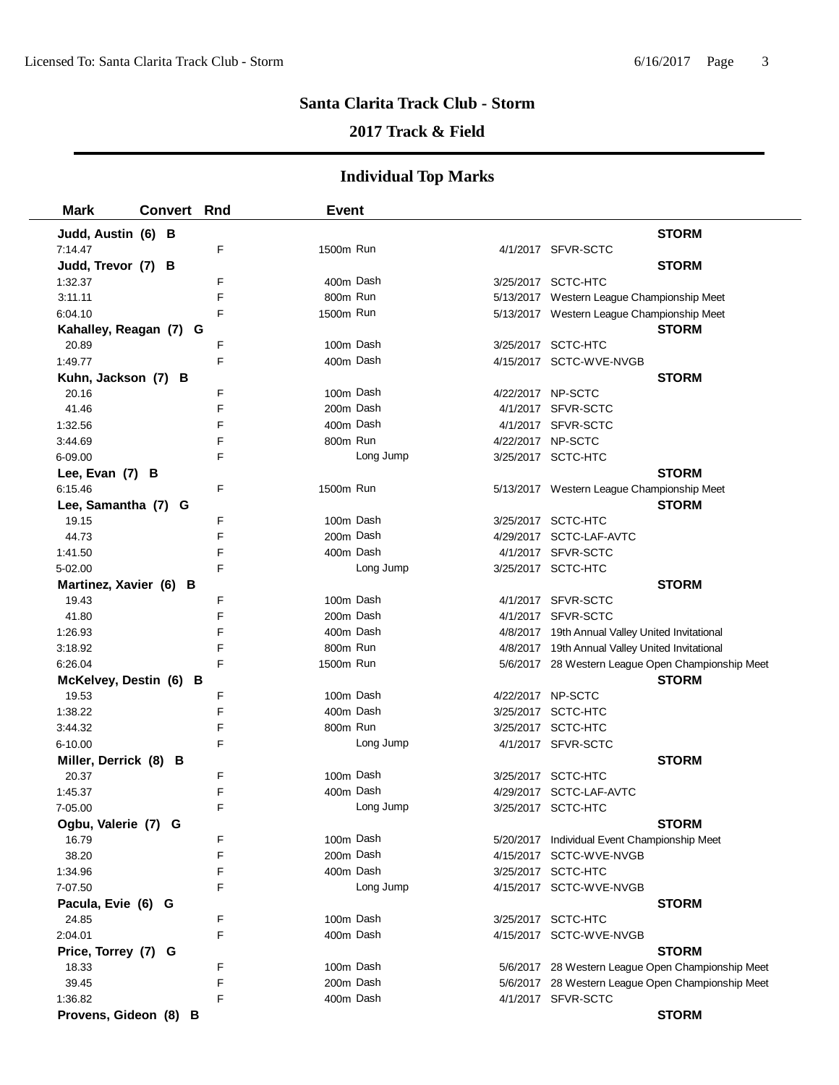### **2017 Track & Field**

| <b>Mark</b>            | <b>Convert Rnd</b>     |   | <b>Event</b> |           |                   |                                                   |
|------------------------|------------------------|---|--------------|-----------|-------------------|---------------------------------------------------|
| Judd, Austin (6) B     |                        |   |              |           |                   | <b>STORM</b>                                      |
| 7:14.47                |                        | F | 1500m Run    |           |                   | 4/1/2017 SFVR-SCTC                                |
| Judd, Trevor (7) B     |                        |   |              |           |                   | <b>STORM</b>                                      |
| 1:32.37                |                        | F | 400m Dash    |           |                   | 3/25/2017 SCTC-HTC                                |
| 3:11.11                |                        | F | 800m Run     |           |                   | 5/13/2017 Western League Championship Meet        |
| 6:04.10                |                        | F | 1500m Run    |           |                   | 5/13/2017 Western League Championship Meet        |
|                        | Kahalley, Reagan (7) G |   |              |           |                   | <b>STORM</b>                                      |
| 20.89                  |                        | F | 100m Dash    |           |                   | 3/25/2017 SCTC-HTC                                |
| 1:49.77                |                        | F | 400m Dash    |           |                   | 4/15/2017 SCTC-WVE-NVGB                           |
| Kuhn, Jackson (7) B    |                        |   |              |           |                   | <b>STORM</b>                                      |
| 20.16                  |                        | F | 100m Dash    |           |                   | 4/22/2017 NP-SCTC                                 |
| 41.46                  |                        | F | 200m Dash    |           |                   | 4/1/2017 SFVR-SCTC                                |
| 1:32.56                |                        | F | 400m Dash    |           |                   | 4/1/2017 SFVR-SCTC                                |
| 3:44.69                |                        | F | 800m Run     |           | 4/22/2017 NP-SCTC |                                                   |
| 6-09.00                |                        | F |              | Long Jump |                   | 3/25/2017 SCTC-HTC                                |
| Lee, Evan (7) B        |                        |   |              |           |                   | <b>STORM</b>                                      |
| 6:15.46                |                        | F | 1500m Run    |           |                   | 5/13/2017 Western League Championship Meet        |
| Lee, Samantha (7) G    |                        |   |              |           |                   | <b>STORM</b>                                      |
| 19.15                  |                        | F | 100m Dash    |           |                   | 3/25/2017 SCTC-HTC                                |
| 44.73                  |                        | F | 200m Dash    |           |                   | 4/29/2017 SCTC-LAF-AVTC                           |
| 1:41.50                |                        | F | 400m Dash    |           |                   | 4/1/2017 SFVR-SCTC                                |
| 5-02.00                |                        | F |              | Long Jump |                   | 3/25/2017 SCTC-HTC                                |
| Martinez, Xavier (6) B |                        |   |              |           |                   | <b>STORM</b>                                      |
| 19.43                  |                        | F | 100m Dash    |           |                   | 4/1/2017 SFVR-SCTC                                |
| 41.80                  |                        | F | 200m Dash    |           |                   | 4/1/2017 SFVR-SCTC                                |
| 1:26.93                |                        | F | 400m Dash    |           |                   | 4/8/2017 19th Annual Valley United Invitational   |
| 3:18.92                |                        | F | 800m Run     |           |                   | 4/8/2017 19th Annual Valley United Invitational   |
| 6:26.04                |                        | F | 1500m Run    |           |                   | 5/6/2017 28 Western League Open Championship Meet |
|                        | McKelvey, Destin (6) B |   |              |           |                   | <b>STORM</b>                                      |
| 19.53                  |                        | F | 100m Dash    |           |                   | 4/22/2017 NP-SCTC                                 |
| 1:38.22                |                        | F | 400m Dash    |           |                   | 3/25/2017 SCTC-HTC                                |
| 3:44.32                |                        | F | 800m Run     |           |                   | 3/25/2017 SCTC-HTC                                |
| 6-10.00                |                        | F |              | Long Jump |                   | 4/1/2017 SFVR-SCTC                                |
| Miller, Derrick (8) B  |                        |   |              |           |                   | <b>STORM</b>                                      |
| 20.37                  |                        | F | 100m Dash    |           |                   | 3/25/2017 SCTC-HTC                                |
| 1:45.37                |                        | F | 400m Dash    |           |                   | 4/29/2017 SCTC-LAF-AVTC                           |
| 7-05.00                |                        | F |              | Long Jump |                   | 3/25/2017 SCTC-HTC                                |
| Ogbu, Valerie (7) G    |                        |   |              |           |                   | <b>STORM</b>                                      |
| 16.79                  |                        | F | 100m Dash    |           |                   | 5/20/2017 Individual Event Championship Meet      |
| 38.20                  |                        | F | 200m Dash    |           |                   | 4/15/2017 SCTC-WVE-NVGB                           |
| 1:34.96                |                        | F | 400m Dash    |           |                   | 3/25/2017 SCTC-HTC                                |
| 7-07.50                |                        | F |              | Long Jump |                   | 4/15/2017 SCTC-WVE-NVGB                           |
| Pacula, Evie (6) G     |                        |   |              |           |                   | <b>STORM</b>                                      |
| 24.85                  |                        | F | 100m Dash    |           |                   | 3/25/2017 SCTC-HTC                                |
| 2:04.01                |                        | F | 400m Dash    |           |                   | 4/15/2017 SCTC-WVE-NVGB                           |
| Price, Torrey (7) G    |                        |   |              |           |                   | <b>STORM</b>                                      |
| 18.33                  |                        | F | 100m Dash    |           |                   | 5/6/2017 28 Western League Open Championship Meet |
| 39.45                  |                        | F | 200m Dash    |           |                   | 5/6/2017 28 Western League Open Championship Meet |
| 1:36.82                |                        | F | 400m Dash    |           |                   | 4/1/2017 SFVR-SCTC                                |
| Provens, Gideon (8) B  |                        |   |              |           |                   | <b>STORM</b>                                      |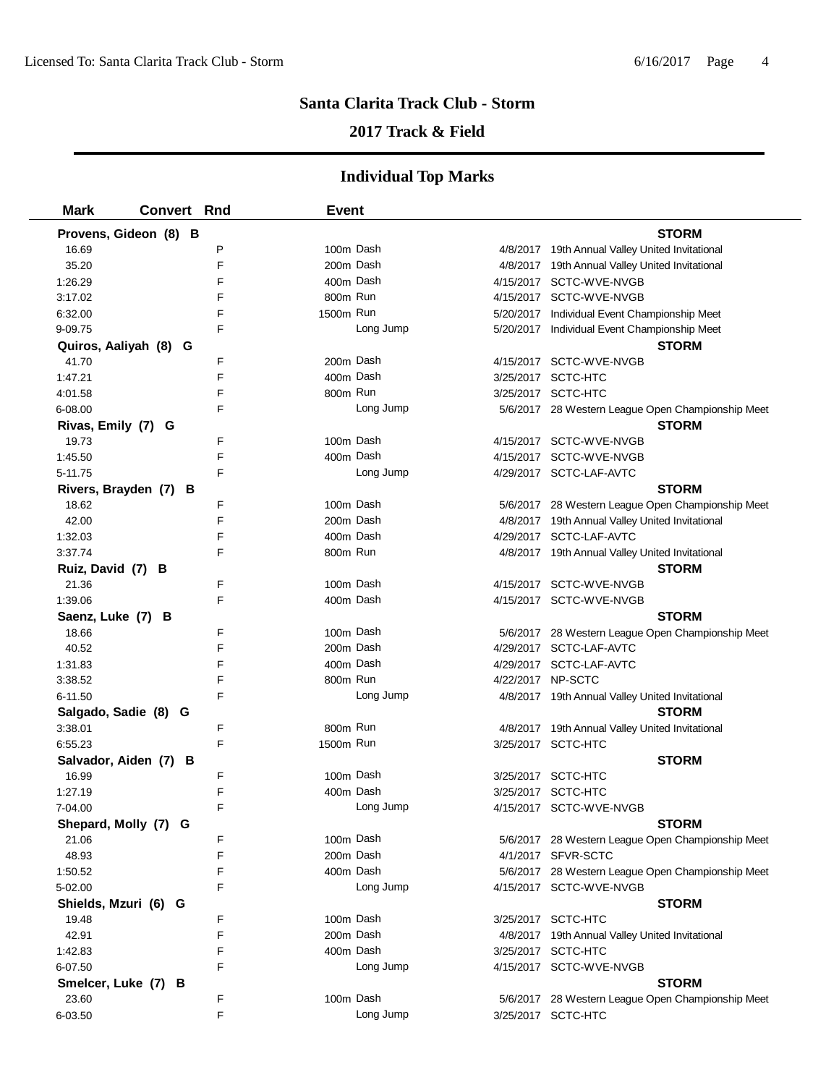### **2017 Track & Field**

| <b>Mark</b>           | <b>Convert Rnd</b> | <b>Event</b> |           |                   |                                                   |
|-----------------------|--------------------|--------------|-----------|-------------------|---------------------------------------------------|
| Provens, Gideon (8) B |                    |              |           |                   | <b>STORM</b>                                      |
| 16.69                 | P                  | 100m Dash    |           |                   | 4/8/2017 19th Annual Valley United Invitational   |
| 35.20                 | F                  | 200m Dash    |           |                   | 4/8/2017 19th Annual Valley United Invitational   |
| 1:26.29               | F                  | 400m Dash    |           |                   | 4/15/2017 SCTC-WVE-NVGB                           |
| 3:17.02               | F                  | 800m Run     |           |                   | 4/15/2017 SCTC-WVE-NVGB                           |
| 6:32.00               | F                  | 1500m Run    |           |                   | 5/20/2017 Individual Event Championship Meet      |
| 9-09.75               | F                  |              | Long Jump |                   | 5/20/2017 Individual Event Championship Meet      |
| Quiros, Aaliyah (8) G |                    |              |           |                   | <b>STORM</b>                                      |
| 41.70                 | F                  | 200m Dash    |           |                   | 4/15/2017 SCTC-WVE-NVGB                           |
| 1:47.21               | F                  | 400m Dash    |           |                   | 3/25/2017 SCTC-HTC                                |
| 4:01.58               | F                  | 800m Run     |           |                   | 3/25/2017 SCTC-HTC                                |
| 6-08.00               | F                  |              | Long Jump |                   | 5/6/2017 28 Western League Open Championship Meet |
| Rivas, Emily (7) G    |                    |              |           |                   | <b>STORM</b>                                      |
| 19.73                 | F                  | 100m Dash    |           |                   | 4/15/2017 SCTC-WVE-NVGB                           |
| 1:45.50               | F                  | 400m Dash    |           |                   | 4/15/2017 SCTC-WVE-NVGB                           |
| 5-11.75               | F                  |              | Long Jump |                   | 4/29/2017 SCTC-LAF-AVTC                           |
| Rivers, Brayden (7) B |                    |              |           |                   | <b>STORM</b>                                      |
| 18.62                 | F                  | 100m Dash    |           |                   | 5/6/2017 28 Western League Open Championship Meet |
| 42.00                 | F                  | 200m Dash    |           |                   | 4/8/2017 19th Annual Valley United Invitational   |
| 1:32.03               | F                  | 400m Dash    |           |                   | 4/29/2017 SCTC-LAF-AVTC                           |
| 3:37.74               | F                  | 800m Run     |           |                   | 4/8/2017 19th Annual Valley United Invitational   |
| Ruiz, David (7) B     |                    |              |           |                   | <b>STORM</b>                                      |
| 21.36                 | F                  | 100m Dash    |           |                   | 4/15/2017 SCTC-WVE-NVGB                           |
| 1:39.06               | F                  | 400m Dash    |           |                   | 4/15/2017 SCTC-WVE-NVGB                           |
| Saenz, Luke (7) B     |                    |              |           |                   | <b>STORM</b>                                      |
| 18.66                 | F                  | 100m Dash    |           |                   | 5/6/2017 28 Western League Open Championship Meet |
| 40.52                 | F                  | 200m Dash    |           |                   | 4/29/2017 SCTC-LAF-AVTC                           |
| 1:31.83               | F                  | 400m Dash    |           |                   | 4/29/2017 SCTC-LAF-AVTC                           |
| 3:38.52               | F                  | 800m Run     |           | 4/22/2017 NP-SCTC |                                                   |
| 6-11.50               | F                  |              | Long Jump |                   | 4/8/2017 19th Annual Valley United Invitational   |
| Salgado, Sadie (8) G  |                    |              |           |                   | <b>STORM</b>                                      |
| 3:38.01               | F                  | 800m Run     |           |                   | 4/8/2017 19th Annual Valley United Invitational   |
| 6:55.23               | F                  | 1500m Run    |           |                   | 3/25/2017 SCTC-HTC                                |
| Salvador, Aiden (7) B |                    |              |           |                   | <b>STORM</b>                                      |
| 16.99                 | F                  | 100m Dash    |           |                   | 3/25/2017 SCTC-HTC                                |
| 1:27.19               | F                  | 400m Dash    |           |                   | 3/25/2017 SCTC-HTC                                |
| 7-04.00               | F                  |              | Long Jump |                   | 4/15/2017 SCTC-WVE-NVGB                           |
| Shepard, Molly (7) G  |                    |              |           |                   | <b>STORM</b>                                      |
| 21.06                 | F                  | 100m Dash    |           |                   | 5/6/2017 28 Western League Open Championship Meet |
| 48.93                 | F                  | 200m Dash    |           |                   | 4/1/2017 SFVR-SCTC                                |
| 1:50.52               | F                  | 400m Dash    |           |                   | 5/6/2017 28 Western League Open Championship Meet |
| 5-02.00               | F                  |              | Long Jump |                   | 4/15/2017 SCTC-WVE-NVGB                           |
| Shields, Mzuri (6) G  |                    |              |           |                   | <b>STORM</b>                                      |
| 19.48                 | F                  | 100m Dash    |           |                   | 3/25/2017 SCTC-HTC                                |
| 42.91                 | F                  | 200m Dash    |           |                   | 4/8/2017 19th Annual Valley United Invitational   |
| 1:42.83               | F                  | 400m Dash    |           |                   | 3/25/2017 SCTC-HTC                                |
| 6-07.50               | F                  |              | Long Jump |                   | 4/15/2017 SCTC-WVE-NVGB                           |
| Smelcer, Luke (7) B   |                    |              |           |                   | <b>STORM</b>                                      |
| 23.60                 | F                  | 100m Dash    |           |                   | 5/6/2017 28 Western League Open Championship Meet |
| 6-03.50               | F                  |              | Long Jump |                   | 3/25/2017 SCTC-HTC                                |